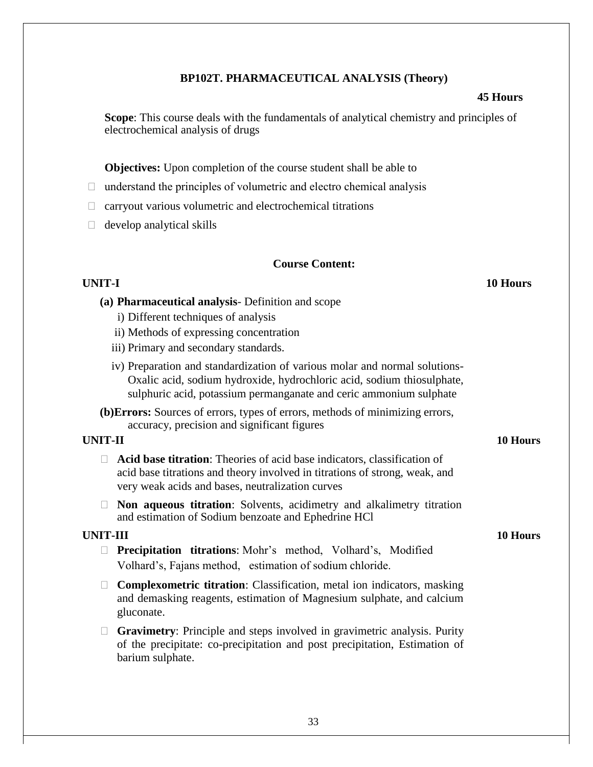## **BP102T. PHARMACEUTICAL ANALYSIS (Theory)**

### **45 Hours**

**Scope**: This course deals with the fundamentals of analytical chemistry and principles of electrochemical analysis of drugs

**Objectives:** Upon completion of the course student shall be able to

- $\Box$  understand the principles of volumetric and electro chemical analysis
- $\Box$  carryout various volumetric and electrochemical titrations
- $\Box$  develop analytical skills

#### **Course Content:**

#### **UNIT-I 10 Hours**

- **(a) Pharmaceutical analysis** Definition and scope
	- i) Different techniques of analysis
	- ii) Methods of expressing concentration
	- iii) Primary and secondary standards.
	- iv) Preparation and standardization of various molar and normal solutions-Oxalic acid, sodium hydroxide, hydrochloric acid, sodium thiosulphate, sulphuric acid, potassium permanganate and ceric ammonium sulphate
- **(b)Errors:** Sources of errors, types of errors, methods of minimizing errors, accuracy, precision and significant figures

#### **UNIT-II 10 Hours**

- **Acid base titration**: Theories of acid base indicators, classification of acid base titrations and theory involved in titrations of strong, weak, and very weak acids and bases, neutralization curves
- **Non aqueous titration**: Solvents, acidimetry and alkalimetry titration and estimation of Sodium benzoate and Ephedrine HCl

#### **UNIT-III 10 Hours**

- **Precipitation titrations**: Mohr's method, Volhard's, Modified Volhard's, Fajans method, estimation of sodium chloride.
- **Complexometric titration**: Classification, metal ion indicators, masking and demasking reagents, estimation of Magnesium sulphate, and calcium gluconate.
- **Gravimetry**: Principle and steps involved in gravimetric analysis. Purity of the precipitate: co-precipitation and post precipitation, Estimation of barium sulphate.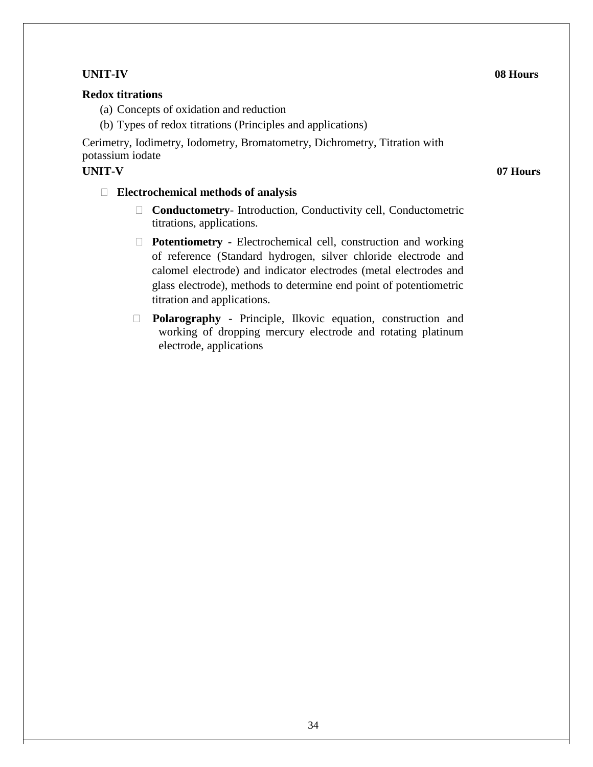# **UNIT-IV 08 Hours**

## **Redox titrations**

(a) Concepts of oxidation and reduction

(b) Types of redox titrations (Principles and applications)

Cerimetry, Iodimetry, Iodometry, Bromatometry, Dichrometry, Titration with potassium iodate

## **UNIT-V 07 Hours**

## **Electrochemical methods of analysis**

- **Conductometry** Introduction, Conductivity cell, Conductometric titrations, applications.
- **Potentiometry -** Electrochemical cell, construction and working of reference (Standard hydrogen, silver chloride electrode and calomel electrode) and indicator electrodes (metal electrodes and glass electrode), methods to determine end point of potentiometric titration and applications.
- **Polarography**  Principle, Ilkovic equation, construction and working of dropping mercury electrode and rotating platinum electrode, applications